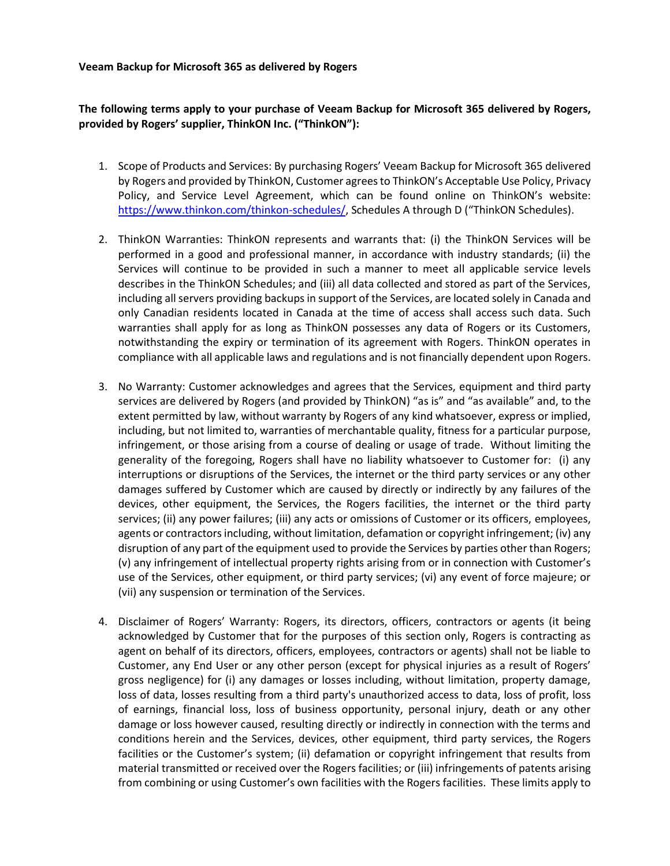## **Veeam Backup for Microsoft 365 as delivered by Rogers**

## **The following terms apply to your purchase of Veeam Backup for Microsoft 365 delivered by Rogers, provided by Rogers' supplier, ThinkON Inc. ("ThinkON"):**

- 1. Scope of Products and Services: By purchasing Rogers' Veeam Backup for Microsoft 365 delivered by Rogers and provided by ThinkON, Customer agrees to ThinkON's Acceptable Use Policy, Privacy Policy, and Service Level Agreement, which can be found online on ThinkON's website: [https://www.thinkon.com/thinkon-schedules/,](https://www.thinkon.com/thinkon-schedules/) Schedules A through D ("ThinkON Schedules).
- 2. ThinkON Warranties: ThinkON represents and warrants that: (i) the ThinkON Services will be performed in a good and professional manner, in accordance with industry standards; (ii) the Services will continue to be provided in such a manner to meet all applicable service levels describes in the ThinkON Schedules; and (iii) all data collected and stored as part of the Services, including all servers providing backups in support of the Services, are located solely in Canada and only Canadian residents located in Canada at the time of access shall access such data. Such warranties shall apply for as long as ThinkON possesses any data of Rogers or its Customers, notwithstanding the expiry or termination of its agreement with Rogers. ThinkON operates in compliance with all applicable laws and regulations and is not financially dependent upon Rogers.
- 3. No Warranty: Customer acknowledges and agrees that the Services, equipment and third party services are delivered by Rogers (and provided by ThinkON) "as is" and "as available" and, to the extent permitted by law, without warranty by Rogers of any kind whatsoever, express or implied, including, but not limited to, warranties of merchantable quality, fitness for a particular purpose, infringement, or those arising from a course of dealing or usage of trade. Without limiting the generality of the foregoing, Rogers shall have no liability whatsoever to Customer for: (i) any interruptions or disruptions of the Services, the internet or the third party services or any other damages suffered by Customer which are caused by directly or indirectly by any failures of the devices, other equipment, the Services, the Rogers facilities, the internet or the third party services; (ii) any power failures; (iii) any acts or omissions of Customer or its officers, employees, agents or contractors including, without limitation, defamation or copyright infringement; (iv) any disruption of any part of the equipment used to provide the Services by parties other than Rogers; (v) any infringement of intellectual property rights arising from or in connection with Customer's use of the Services, other equipment, or third party services; (vi) any event of force majeure; or (vii) any suspension or termination of the Services.
- 4. Disclaimer of Rogers' Warranty: Rogers, its directors, officers, contractors or agents (it being acknowledged by Customer that for the purposes of this section only, Rogers is contracting as agent on behalf of its directors, officers, employees, contractors or agents) shall not be liable to Customer, any End User or any other person (except for physical injuries as a result of Rogers' gross negligence) for (i) any damages or losses including, without limitation, property damage, loss of data, losses resulting from a third party's unauthorized access to data, loss of profit, loss of earnings, financial loss, loss of business opportunity, personal injury, death or any other damage or loss however caused, resulting directly or indirectly in connection with the terms and conditions herein and the Services, devices, other equipment, third party services, the Rogers facilities or the Customer's system; (ii) defamation or copyright infringement that results from material transmitted or received over the Rogers facilities; or (iii) infringements of patents arising from combining or using Customer's own facilities with the Rogers facilities. These limits apply to